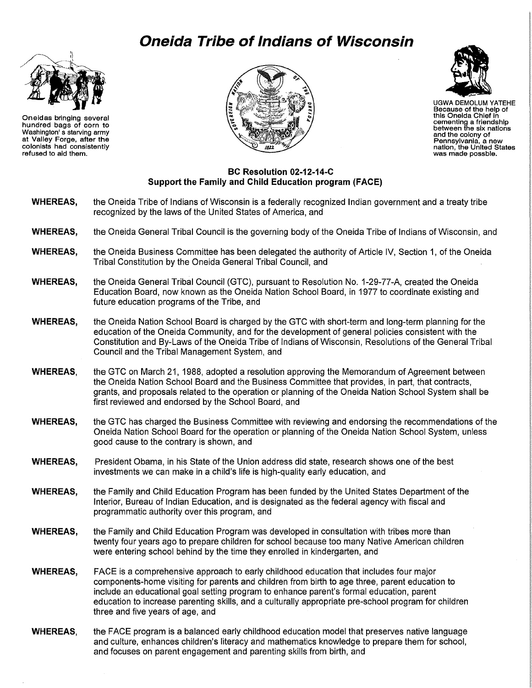## **Oneida Tribe of Indians of Wisconsin**



Oneidas bringing several hundred bags of corn to Washington' s starving army at Valley Forge, after the colonists had consistently refused to aid them.





UGWA DEMOLUM YATEHE Because of the help of this Oneida Chief in cementing a friendship between the six nations and the colony of Pennsylvania, a new nation, the United States was made possble.

## **BC Resolution 02-12-14-C Support the Family and Child Education program (FACE)**

- **WHEREAS,**  the Oneida Tribe of Indians of Wisconsin is a federally recognized Indian government and a treaty tribe recognized by the laws of the United States of America, and
- **WHEREAS,**  the Oneida General Tribal Council is the governing body of the Oneida Tribe of Indians of Wisconsin, and
- **WHEREAS,**  the Oneida Business Committee has been delegated the authority of Article IV, Section 1, of the Oneida Tribal Constitution by the Oneida General Tribal Council, and
- **WHEREAS,**  the Oneida General Tribal Council (GTC), pursuant to Resolution No. 1-29-77-A, created the Oneida Education Board, now known as the Oneida Nation School Board, in 1977 to coordinate existing and future education programs of the Tribe, and
- **WHEREAS,**  the Oneida Nation School Board is charged by the GTC with short-term and long-term planning for the education of the Oneida Community, and for the development of general policies consistent with the Constitution and By-Laws of the Oneida Tribe of Indians of Wisconsin, Resolutions of the General Tribal Council and the Tribal Management System, and
- **WHEREAS,**  the GTC on March 21, 1988, adopted a resolution approving the Memorandum of Agreement between the Oneida Nation School Board and the Business Committee that provides, in part, that contracts, grants, and proposals related to the operation or planning of the Oneida Nation School System shall be first reviewed and endorsed by the School Board, and
- **WHEREAS,**  the GTC has charged the Business Committee with reviewing and endorsing the recommendations of the Oneida Nation School Board for the operation or planning of the Oneida Nation School System, unless good cause to the contrary is shown, and
- **WHEREAS,**  President Obama, in his State of the Union address did state, research shows one of the best investments we can make in a child's life is high-quality early education, and
- **WHEREAS,**  the Family and Child Education Program has been funded by the United States Department of the Interior, Bureau of Indian Education, and is designated as the federal agency with fiscal and programmatic authority over this program, and
- **WHEREAS,**  the Family and Child Education Program was developed in consultation with tribes more than twenty four years ago to prepare children for school because too many Native American children were entering school behind by the time they enrolled in kindergarten, and
- **WHEREAS,**  FACE is a comprehensive approach to early childhood education that includes four major components-home visiting for parents and children from birth to age three, parent education to include an educational goal setting program to enhance parent's formal education, parent education to increase parenting skills, and a culturally appropriate pre-school program for children three and five years of age, and
- **WHEREAS,**  the FACE program is a balanced early childhood education model that preserves native language and culture, enhances children's literacy and mathematics knowledge to prepare them for school, and focuses on parent engagement and parenting skills from birth, and